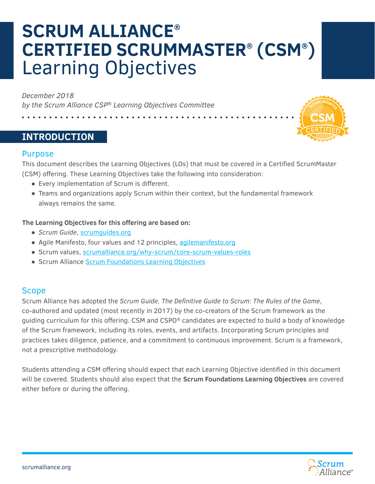# **SCRUM ALLIANCE® CERTIFIED SCRUMMASTER® (CSM® )** Learning Objectives

*December 2018 by the Scrum Alliance CSP® Learning Objectives Committee*

. . . . . . . . . . .

# **INTRODUCTION**



This document describes the Learning Objectives (LOs) that must be covered in a Certified ScrumMaster (CSM) offering. These Learning Objectives take the following into consideration:

- Every implementation of Scrum is different.
- Teams and organizations apply Scrum within their context, but the fundamental framework always remains the same.

#### **The Learning Objectives for this offering are based on:**

- *Scrum Guide*, [scrumguides.org](https://scrumguides.org/)
- Agile Manifesto, four values and 12 principles, [agilemanifesto.org](http://agilemanifesto.org/)
- Scrum values, [scrumalliance.org/why-scrum/core-scrum-values-roles](https://www.scrumalliance.org/learn-about-scrum/scrum-values)
- Scrum Alliance [Scrum Foundations Learning Objectives](https://www.scrumalliance.org/ScrumRedesignDEVSite/media/ScrumAllianceMedia/Files%20and%20PDFs/Certifications/Foundational/Scrum-Foundations-LOs-2018.pdf)

#### Scope

Scrum Alliance has adopted the *Scrum Guide, The Definitive Guide to Scrum: The Rules of the Game*, co-authored and updated (most recently in 2017) by the co-creators of the Scrum framework as the guiding curriculum for this offering. CSM and CSPO® candidates are expected to build a body of knowledge of the Scrum framework, including its roles, events, and artifacts. Incorporating Scrum principles and practices takes diligence, patience, and a commitment to continuous improvement. Scrum is a framework, not a prescriptive methodology.

Students attending a CSM offering should expect that each Learning Objective identified in this document will be covered. Students should also expect that the **Scrum Foundations Learning Objectives** are covered either before or during the offering.

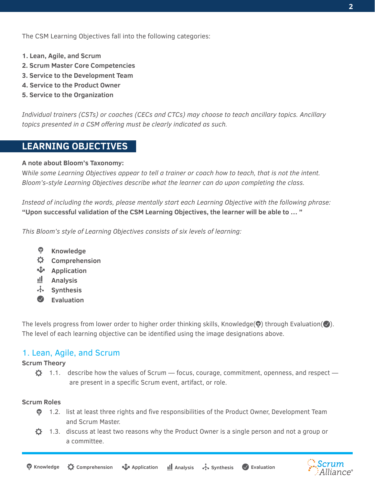The CSM Learning Objectives fall into the following categories:

- **1. Lean, Agile, and Scrum**
- **2. Scrum Master Core Competencies**
- **3. Service to the Development Team**
- **4. Service to the Product Owner**
- **5. Service to the Organization**

*Individual trainers (CSTs) or coaches (CECs and CTCs) may choose to teach ancillary topics. Ancillary topics presented in a CSM offering must be clearly indicated as such.*

# **LEARNING OBJECTIVES**

#### **A note about Bloom's Taxonomy:**

W*hile some Learning Objectives appear to tell a trainer or coach how to teach, that is not the intent. Bloom's-style Learning Objectives describe what the learner can do upon completing the class.* 

*Instead of including the words, please mentally start each Learning Objective with the following phrase:* **"Upon successful validation of the CSM Learning Objectives, the learner will be able to … "**

*This Bloom's style of Learning Objectives consists of six levels of learning:*

- **Knowledge**
- $\alpha$ **Comprehension**
- **Application**
- ıll. **Analysis**
- **Synthesis**
- $\bullet$ **Evaluation**

The levels progress from lower order to higher order thinking skills, Knowledge( $\circledbullet$ ) through Evaluation( $\circledbullet$ ). The level of each learning objective can be identified using the image designations above.

#### 1. Lean, Agile, and Scrum

#### **Scrum Theory**

 $\mathfrak{O}$  1.1. describe how the values of Scrum — focus, courage, commitment, openness, and respect are present in a specific Scrum event, artifact, or role.

#### **Scrum Roles**

- $\bullet$  1.2. list at least three rights and five responsibilities of the Product Owner, Development Team and Scrum Master.
- $\ddot{Q}$  1.3. discuss at least two reasons why the Product Owner is a single person and not a group or a committee.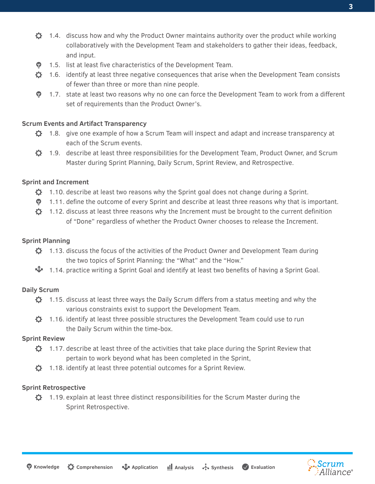- $\ddot{\mathbf{Q}}$  1.4. discuss how and why the Product Owner maintains authority over the product while working collaboratively with the Development Team and stakeholders to gather their ideas, feedback, and input.
- **1.5.** list at least five characteristics of the Development Team.
- $\ddot{Q}$  1.6. identify at least three negative consequences that arise when the Development Team consists of fewer than three or more than nine people.
- $\bullet$  1.7. state at least two reasons why no one can force the Development Team to work from a different set of requirements than the Product Owner's.

#### **Scrum Events and Artifact Transparency**

- $\bullet$  1.8. give one example of how a Scrum Team will inspect and adapt and increase transparency at each of the Scrum events.
- $\ddot{\mathbf{Q}}$  1.9. describe at least three responsibilities for the Development Team, Product Owner, and Scrum Master during Sprint Planning, Daily Scrum, Sprint Review, and Retrospective.

#### **Sprint and Increment**

- $\ddot{Q}$  1.10. describe at least two reasons why the Sprint goal does not change during a Sprint.
- $\bullet$  1.11. define the outcome of every Sprint and describe at least three reasons why that is important.
- $\mathbf{\ddot{\Omega}}$  1.12. discuss at least three reasons why the Increment must be brought to the current definition of "Done" regardless of whether the Product Owner chooses to release the Increment.

#### **Sprint Planning**

- $\ddot{Q}$  1.13. discuss the focus of the activities of the Product Owner and Development Team during the two topics of Sprint Planning: the "What" and the "How."
- 1.14. practice writing a Sprint Goal and identify at least two benefits of having a Sprint Goal.

#### **Daily Scrum**

- $\bullet$  1.15. discuss at least three ways the Daily Scrum differs from a status meeting and why the various constraints exist to support the Development Team.
- $\ddot{\mathbf{\Omega}}$  1.16. identify at least three possible structures the Development Team could use to run the Daily Scrum within the time-box.

#### **Sprint Review**

- $\ddot{Q}$  1.17. describe at least three of the activities that take place during the Sprint Review that pertain to work beyond what has been completed in the Sprint,
- $\bullet$  1.18. identify at least three potential outcomes for a Sprint Review.

#### **Sprint Retrospective**

 $\ddot{Q}$  1.19. explain at least three distinct responsibilities for the Scrum Master during the Sprint Retrospective.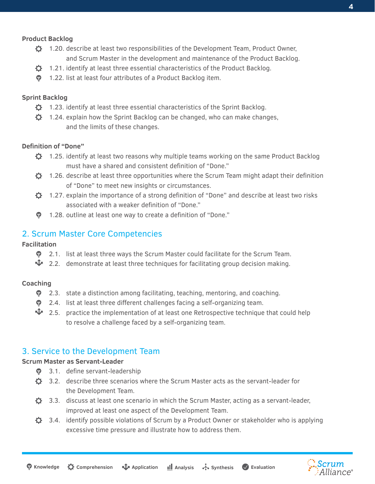#### **Product Backlog**

- $\ddot{\mathbf{Q}}$  1.20. describe at least two responsibilities of the Development Team, Product Owner, and Scrum Master in the development and maintenance of the Product Backlog.
- $\ddot{\Omega}$  1.21. identify at least three essential characteristics of the Product Backlog.
- **1.22.** list at least four attributes of a Product Backlog item.

#### **Sprint Backlog**

- $\ddot{\mathbf{\Omega}}$  1.23. identify at least three essential characteristics of the Sprint Backlog.
- $\ddot{Q}$  1.24. explain how the Sprint Backlog can be changed, who can make changes, and the limits of these changes.

#### **Definition of "Done"**

- $\ddot{Q}$  1.25. identify at least two reasons why multiple teams working on the same Product Backlog must have a shared and consistent definition of "Done."
- $\ddot{\Omega}$  1.26. describe at least three opportunities where the Scrum Team might adapt their definition of "Done" to meet new insights or circumstances.
- $\ddot{Q}$  1.27. explain the importance of a strong definition of "Done" and describe at least two risks associated with a weaker definition of "Done."
- 1.28. outline at least one way to create a definition of "Done."

### 2. Scrum Master Core Competencies

#### **Facilitation**

- $\bullet$  2.1. list at least three ways the Scrum Master could facilitate for the Scrum Team.
- $\nabla$  2.2. demonstrate at least three techniques for facilitating group decision making.

#### **Coaching**

- **•** 2.3. state a distinction among facilitating, teaching, mentoring, and coaching.
- **•** 2.4. list at least three different challenges facing a self-organizing team.
- $\mathbf{\hat{V}}$  2.5. practice the implementation of at least one Retrospective technique that could help to resolve a challenge faced by a self-organizing team.

#### 3. Service to the Development Team

#### **Scrum Master as Servant-Leader**

- **•** 3.1. define servant-leadership
- $\ddot{\Omega}$  3.2. describe three scenarios where the Scrum Master acts as the servant-leader for the Development Team.
- $\bullet$  3.3. discuss at least one scenario in which the Scrum Master, acting as a servant-leader, improved at least one aspect of the Development Team.
- $\bigcirc$  3.4. identify possible violations of Scrum by a Product Owner or stakeholder who is applying excessive time pressure and illustrate how to address them.

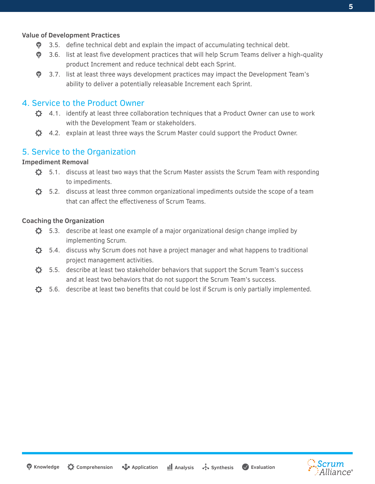#### **Value of Development Practices**

- **•** 3.5. define technical debt and explain the impact of accumulating technical debt.
- **•** 3.6. list at least five development practices that will help Scrum Teams deliver a high-quality product Increment and reduce technical debt each Sprint.
- **•** 3.7. list at least three ways development practices may impact the Development Team's ability to deliver a potentially releasable Increment each Sprint.

#### 4. Service to the Product Owner

- $\bullet$  4.1. identify at least three collaboration techniques that a Product Owner can use to work with the Development Team or stakeholders.
- $\bullet$  4.2. explain at least three ways the Scrum Master could support the Product Owner.

#### 5. Service to the Organization

#### **Impediment Removal**

- $\bullet$  5.1. discuss at least two ways that the Scrum Master assists the Scrum Team with responding to impediments.
- $\bullet$  5.2. discuss at least three common organizational impediments outside the scope of a team that can affect the effectiveness of Scrum Teams.

#### **Coaching the Organization**

- $\bullet$  5.3. describe at least one example of a major organizational design change implied by implementing Scrum.
- $\bullet$  5.4. discuss why Scrum does not have a project manager and what happens to traditional project management activities.
- $\sigma$ 5.5. describe at least two stakeholder behaviors that support the Scrum Team's success and at least two behaviors that do not support the Scrum Team's success.
- $\mathbf{\hat{C}}$ 5.6. describe at least two benefits that could be lost if Scrum is only partially implemented.